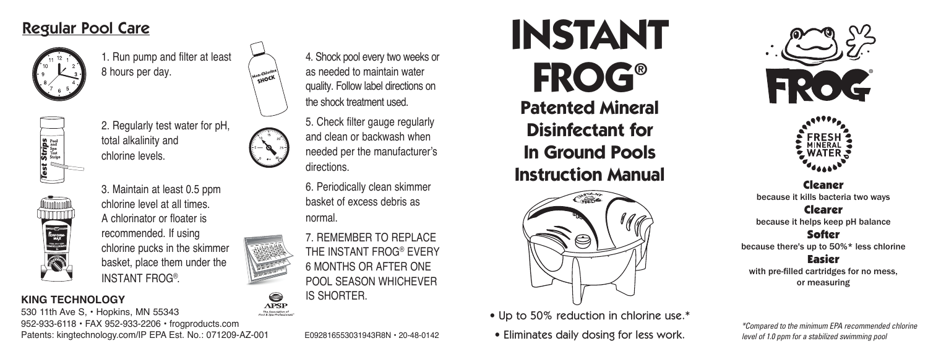## Regular Pool Care



1. Run pump and filter at least 8 hours per day.

**ALLOCK** 

⊜



2. Regularly test water for pH, total alkalinity and chlorine levels.



3. Maintain at least 0.5 ppm chlorine level at all times. A chlorinator or floater is recommended. If using chlorine pucks in the skimmer basket, place them under the INSTANT FROG® .

### **KING TECHNOLOGY**

**APSP** 530 11th Ave S, • Hopkins, MN 55343 The Association of 952-933-6118 • FAX 952-933-2206 • frogproducts.com Patents: kingtechnology.com/IP EPA Est. No.: 071209-AZ-001 E092816553031943R8N • 20-48-0142

4. Shock pool every two weeks or as needed to maintain water quality. Follow label directions on the shock treatment used.

5. Check filter gauge regularly and clean or backwash when needed per the manufacturer's directions.

6. Periodically clean skimmer basket of excess debris as normal.

7. REMEMBER TO REPLACE THE INSTANT FROG® EVERY 6 MONTHS OR AFTER ONE POOL SEASON WHICHEVER IS SHORTER.



**Disinfectant for In Ground Pools Instruction Manual**



• Up to 50% reduction in chlorine use.\*





Cleaner because it kills bacteria two ways

Clearer because it helps keep pH balance

Softer

because there's up to 50%\* less chlorine

Easier with pre-filled cartridges for no mess, or measuring

• Eliminates daily dosing for less work. *\*Compared to the minimum EPA recommended chlorine level of 1.0 ppm for a stabilized swimming pool*